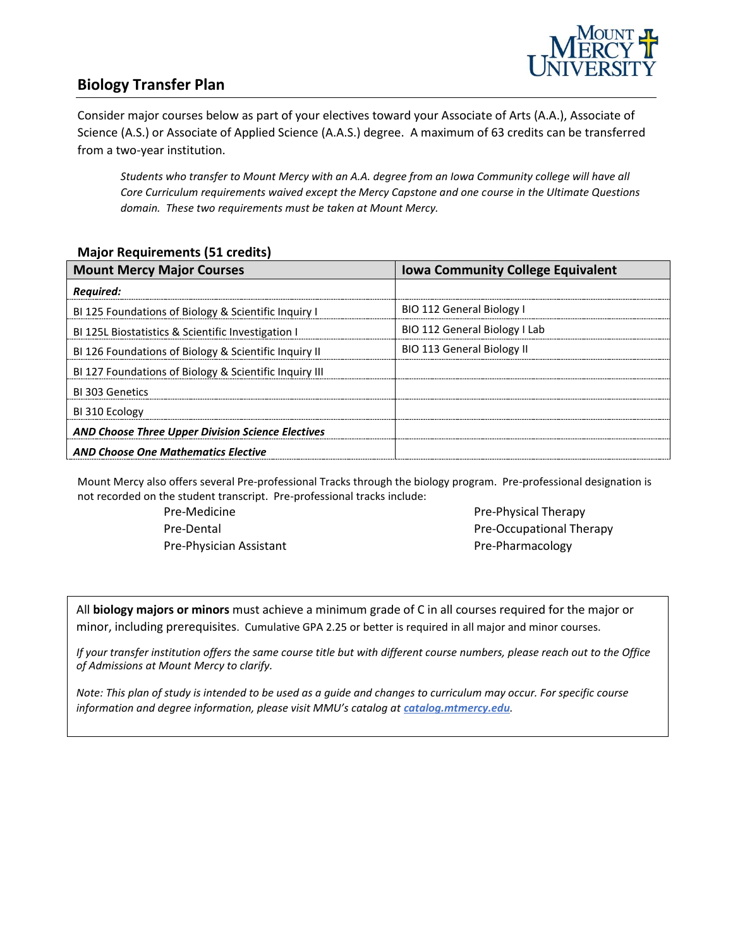

## **Biology Transfer Plan**

Consider major courses below as part of your electives toward your Associate of Arts (A.A.), Associate of Science (A.S.) or Associate of Applied Science (A.A.S.) degree. A maximum of 63 credits can be transferred from a two-year institution.

*Students who transfer to Mount Mercy with an A.A. degree from an Iowa Community college will have all Core Curriculum requirements waived except the Mercy Capstone and one course in the Ultimate Questions domain. These two requirements must be taken at Mount Mercy.* 

#### **Major Requirements (51 credits)**

| <b>Mount Mercy Major Courses</b>                         | <b>Iowa Community College Equivalent</b> |
|----------------------------------------------------------|------------------------------------------|
| <b>Required:</b>                                         |                                          |
| BI 125 Foundations of Biology & Scientific Inquiry I     | <b>BIO 112 General Biology I</b>         |
| BI 125L Biostatistics & Scientific Investigation I       | BIO 112 General Biology I Lab            |
| BI 126 Foundations of Biology & Scientific Inquiry II    | <b>BIO 113 General Biology II</b>        |
| BI 127 Foundations of Biology & Scientific Inquiry III   |                                          |
| BI 303 Genetics                                          |                                          |
| BI 310 Ecology                                           |                                          |
| <b>AND Choose Three Upper Division Science Electives</b> |                                          |
| <b>AND Choose One Mathematics Elective</b>               |                                          |

Mount Mercy also offers several Pre-professional Tracks through the biology program. Pre-professional designation is not recorded on the student transcript. Pre-professional tracks include:

> Pre-Medicine Pre-Dental Pre-Physician Assistant

Pre-Physical Therapy Pre-Occupational Therapy Pre-Pharmacology

All **biology majors or minors** must achieve a minimum grade of C in all courses required for the major or minor, including prerequisites. Cumulative GPA 2.25 or better is required in all major and minor courses.

*If your transfer institution offers the same course title but with different course numbers, please reach out to the Office of Admissions at Mount Mercy to clarify.*

*Note: This plan of study is intended to be used as a guide and changes to curriculum may occur. For specific course information and degree information, please visit MMU's catalog at <i>catalog.mtmercy.edu*.